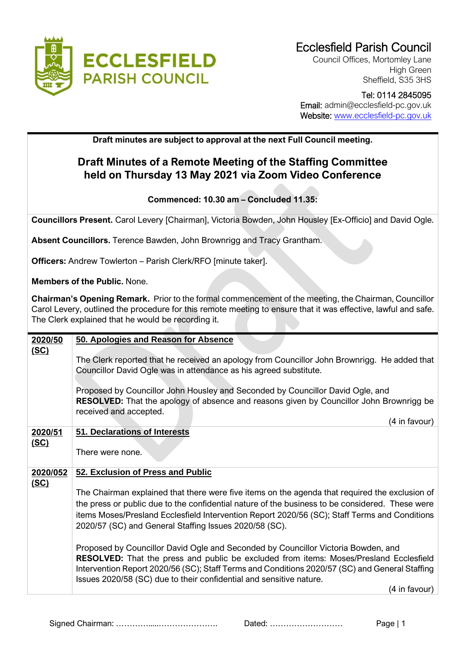

Council Offices, Mortomley Lane High Green Sheffield, S35 3HS

## Tel: 0114 2845095 Email: admin@ecclesfield-pc.gov.uk Website: [www.ecclesfield-pc.gov.uk](http://www.ecclesfield-pc.gov.uk/)

## **Draft minutes are subject to approval at the next Full Council meeting.**

## **Draft Minutes of a Remote Meeting of the Staffing Committee held on Thursday 13 May 2021 via Zoom Video Conference**

## **Commenced: 10.30 am – Concluded 11.35:**

**Councillors Present.** Carol Levery [Chairman], Victoria Bowden, John Housley [Ex-Officio] and David Ogle.

**Absent Councillors.** Terence Bawden, John Brownrigg and Tracy Grantham.

**Officers:** Andrew Towlerton – Parish Clerk/RFO [minute taker].

**Members of the Public.** None.

**Chairman's Opening Remark.** Prior to the formal commencement of the meeting, the Chairman, Councillor Carol Levery, outlined the procedure for this remote meeting to ensure that it was effective, lawful and safe. The Clerk explained that he would be recording it.

| 2020/50     | 50. Apologies and Reason for Absence                                                            |
|-------------|-------------------------------------------------------------------------------------------------|
| <u>(SC)</u> |                                                                                                 |
|             | The Clerk reported that he received an apology from Councillor John Brownrigg. He added that    |
|             |                                                                                                 |
|             | Councillor David Ogle was in attendance as his agreed substitute.                               |
|             |                                                                                                 |
|             | Proposed by Councillor John Housley and Seconded by Councillor David Ogle, and                  |
|             | <b>RESOLVED:</b> That the apology of absence and reasons given by Councillor John Brownrigg be  |
|             |                                                                                                 |
|             | received and accepted.                                                                          |
|             | (4 in favour)                                                                                   |
| 2020/51     | 51. Declarations of Interests                                                                   |
|             |                                                                                                 |
| <u>(SC)</u> |                                                                                                 |
|             | There were none.                                                                                |
|             |                                                                                                 |
| 2020/052    | 52. Exclusion of Press and Public                                                               |
| <u>(SC)</u> |                                                                                                 |
|             |                                                                                                 |
|             | The Chairman explained that there were five items on the agenda that required the exclusion of  |
|             | the press or public due to the confidential nature of the business to be considered. These were |
|             | items Moses/Presland Ecclesfield Intervention Report 2020/56 (SC); Staff Terms and Conditions   |
|             |                                                                                                 |
|             | 2020/57 (SC) and General Staffing Issues 2020/58 (SC).                                          |
|             |                                                                                                 |
|             | Proposed by Councillor David Ogle and Seconded by Councillor Victoria Bowden, and               |
|             |                                                                                                 |
|             | RESOLVED: That the press and public be excluded from items: Moses/Presland Ecclesfield          |
|             | Intervention Report 2020/56 (SC); Staff Terms and Conditions 2020/57 (SC) and General Staffing  |
|             | Issues 2020/58 (SC) due to their confidential and sensitive nature.                             |
|             | (4 in favour)                                                                                   |
|             |                                                                                                 |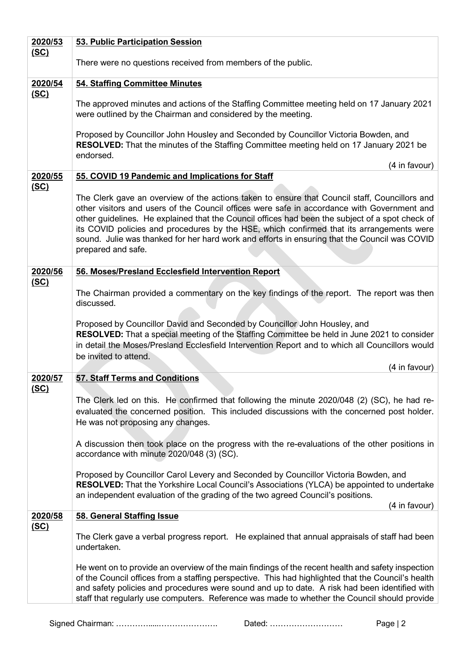| 2020/53                | 53. Public Participation Session                                                                                                                                                                                                                                                                                                                                                                                                                                                                                   |
|------------------------|--------------------------------------------------------------------------------------------------------------------------------------------------------------------------------------------------------------------------------------------------------------------------------------------------------------------------------------------------------------------------------------------------------------------------------------------------------------------------------------------------------------------|
| <u>(SC)</u>            | There were no questions received from members of the public.                                                                                                                                                                                                                                                                                                                                                                                                                                                       |
| 2020/54                | 54. Staffing Committee Minutes                                                                                                                                                                                                                                                                                                                                                                                                                                                                                     |
| <u>(SC)</u>            | The approved minutes and actions of the Staffing Committee meeting held on 17 January 2021<br>were outlined by the Chairman and considered by the meeting.                                                                                                                                                                                                                                                                                                                                                         |
|                        | Proposed by Councillor John Housley and Seconded by Councillor Victoria Bowden, and<br>RESOLVED: That the minutes of the Staffing Committee meeting held on 17 January 2021 be<br>endorsed.                                                                                                                                                                                                                                                                                                                        |
|                        | (4 in favour)                                                                                                                                                                                                                                                                                                                                                                                                                                                                                                      |
| 2020/55<br><u>(SC)</u> | 55. COVID 19 Pandemic and Implications for Staff                                                                                                                                                                                                                                                                                                                                                                                                                                                                   |
|                        | The Clerk gave an overview of the actions taken to ensure that Council staff, Councillors and<br>other visitors and users of the Council offices were safe in accordance with Government and<br>other guidelines. He explained that the Council offices had been the subject of a spot check of<br>its COVID policies and procedures by the HSE, which confirmed that its arrangements were<br>sound. Julie was thanked for her hard work and efforts in ensuring that the Council was COVID<br>prepared and safe. |
| 2020/56                | 56. Moses/Presland Ecclesfield Intervention Report                                                                                                                                                                                                                                                                                                                                                                                                                                                                 |
| <u>(SC)</u>            | The Chairman provided a commentary on the key findings of the report. The report was then<br>discussed.                                                                                                                                                                                                                                                                                                                                                                                                            |
|                        | Proposed by Councillor David and Seconded by Councillor John Housley, and<br>RESOLVED: That a special meeting of the Staffing Committee be held in June 2021 to consider<br>in detail the Moses/Presland Ecclesfield Intervention Report and to which all Councillors would<br>be invited to attend.                                                                                                                                                                                                               |
|                        | (4 in favour)                                                                                                                                                                                                                                                                                                                                                                                                                                                                                                      |
| 2020/57<br><u>(SC)</u> | <b>57. Staff Terms and Conditions</b>                                                                                                                                                                                                                                                                                                                                                                                                                                                                              |
|                        | The Clerk led on this. He confirmed that following the minute 2020/048 (2) (SC), he had re-<br>evaluated the concerned position. This included discussions with the concerned post holder.<br>He was not proposing any changes.                                                                                                                                                                                                                                                                                    |
|                        | A discussion then took place on the progress with the re-evaluations of the other positions in<br>accordance with minute 2020/048 (3) (SC).                                                                                                                                                                                                                                                                                                                                                                        |
|                        | Proposed by Councillor Carol Levery and Seconded by Councillor Victoria Bowden, and<br>RESOLVED: That the Yorkshire Local Council's Associations (YLCA) be appointed to undertake<br>an independent evaluation of the grading of the two agreed Council's positions.<br>(4 in favour)                                                                                                                                                                                                                              |
| 2020/58                | 58. General Staffing Issue                                                                                                                                                                                                                                                                                                                                                                                                                                                                                         |
| <u>(SC)</u>            | The Clerk gave a verbal progress report. He explained that annual appraisals of staff had been<br>undertaken.                                                                                                                                                                                                                                                                                                                                                                                                      |
|                        | He went on to provide an overview of the main findings of the recent health and safety inspection<br>of the Council offices from a staffing perspective. This had highlighted that the Council's health<br>and safety policies and procedures were sound and up to date. A risk had been identified with<br>staff that regularly use computers. Reference was made to whether the Council should provide                                                                                                           |